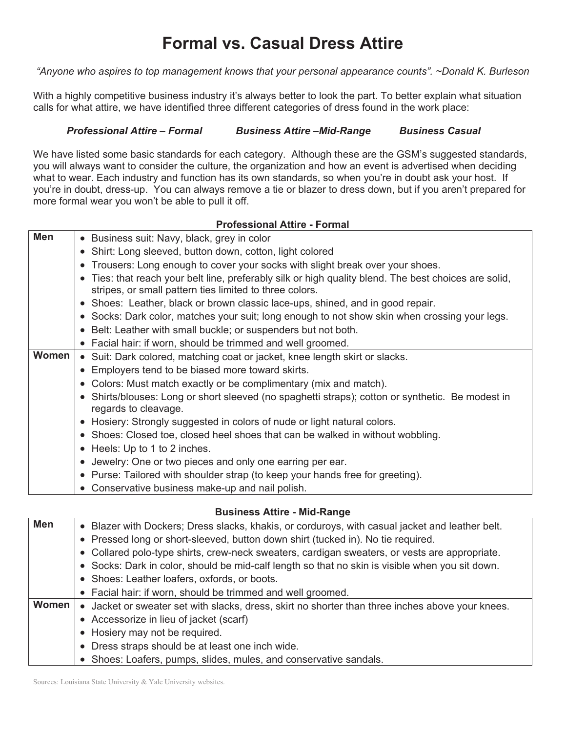# **Formal vs. Casual Dress Attire**

*"Anyone who aspires to top management knows that your personal appearance counts". ~Donald K. Burleson*

With a highly competitive business industry it's always better to look the part. To better explain what situation calls for what attire, we have identified three different categories of dress found in the work place:

# *Professional Attire* **–** *Formal Business Attire* **–***Mid-Range Business Casual*

We have listed some basic standards for each category. Although these are the GSM's suggested standards, you will always want to consider the culture, the organization and how an event is advertised when deciding what to wear. Each industry and function has its own standards, so when you're in doubt ask your host. If you're in doubt, dress-up. You can always remove a tie or blazer to dress down, but if you aren't prepared for more formal wear you won't be able to pull it off.

| <b>Professional Attire - Formal</b> |                                                                                                                                                                  |  |  |
|-------------------------------------|------------------------------------------------------------------------------------------------------------------------------------------------------------------|--|--|
| <b>Men</b>                          | • Business suit: Navy, black, grey in color                                                                                                                      |  |  |
|                                     | • Shirt: Long sleeved, button down, cotton, light colored                                                                                                        |  |  |
|                                     | • Trousers: Long enough to cover your socks with slight break over your shoes.                                                                                   |  |  |
|                                     | • Ties: that reach your belt line, preferably silk or high quality blend. The best choices are solid,<br>stripes, or small pattern ties limited to three colors. |  |  |
|                                     | • Shoes: Leather, black or brown classic lace-ups, shined, and in good repair.                                                                                   |  |  |
|                                     | • Socks: Dark color, matches your suit; long enough to not show skin when crossing your legs.                                                                    |  |  |
|                                     | • Belt: Leather with small buckle; or suspenders but not both.                                                                                                   |  |  |
|                                     | • Facial hair: if worn, should be trimmed and well groomed.                                                                                                      |  |  |
| Women                               | • Suit: Dark colored, matching coat or jacket, knee length skirt or slacks.                                                                                      |  |  |
|                                     | • Employers tend to be biased more toward skirts.                                                                                                                |  |  |
|                                     | • Colors: Must match exactly or be complimentary (mix and match).                                                                                                |  |  |
|                                     | • Shirts/blouses: Long or short sleeved (no spaghetti straps); cotton or synthetic. Be modest in<br>regards to cleavage.                                         |  |  |
|                                     | • Hosiery: Strongly suggested in colors of nude or light natural colors.                                                                                         |  |  |
|                                     | • Shoes: Closed toe, closed heel shoes that can be walked in without wobbling.                                                                                   |  |  |
|                                     | • Heels: Up to 1 to 2 inches.                                                                                                                                    |  |  |
|                                     | • Jewelry: One or two pieces and only one earring per ear.                                                                                                       |  |  |
|                                     | • Purse: Tailored with shoulder strap (to keep your hands free for greeting).                                                                                    |  |  |
|                                     | • Conservative business make-up and nail polish.                                                                                                                 |  |  |

## **Business Attire - Mid-Range**

| <b>Men</b> | • Blazer with Dockers; Dress slacks, khakis, or corduroys, with casual jacket and leather belt.  |
|------------|--------------------------------------------------------------------------------------------------|
|            | • Pressed long or short-sleeved, button down shirt (tucked in). No tie required.                 |
|            | • Collared polo-type shirts, crew-neck sweaters, cardigan sweaters, or vests are appropriate.    |
|            | • Socks: Dark in color, should be mid-calf length so that no skin is visible when you sit down.  |
|            | • Shoes: Leather loafers, oxfords, or boots.                                                     |
|            | • Facial hair: if worn, should be trimmed and well groomed.                                      |
| Women      | • Jacket or sweater set with slacks, dress, skirt no shorter than three inches above your knees. |
|            | • Accessorize in lieu of jacket (scarf)                                                          |
|            | • Hosiery may not be required.                                                                   |
|            | • Dress straps should be at least one inch wide.                                                 |
|            | • Shoes: Loafers, pumps, slides, mules, and conservative sandals.                                |